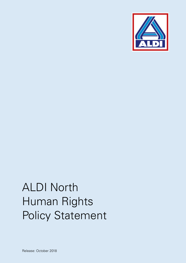

# ALDI North Human Rights Policy Statement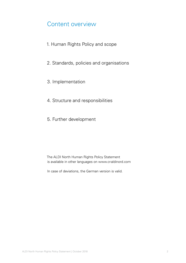#### Content overview

- 1. Human Rights Policy and scope
- 2. Standards, policies and organisations
- 3. Implementation
- 4. Structure and responsibilities
- 5. Further development

The ALDI North Human Rights Policy Statement is available in other languages on www.cr-aldinord.com

In case of deviations, the German version is valid.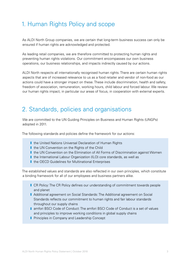# 1. Human Rights Policy and scope

As ALDI North Group companies, we are certain that long-term business success can only be ensured if human rights are acknowledged and protected.

As leading retail companies, we are therefore committed to protecting human rights and preventing human rights violations. Our commitment encompasses our own business operations, our business relationships, and impacts indirectly caused by our actions.

ALDI North respects all internationally recognised human rights. There are certain human rights aspects that are of increased relevance to us as a food retailer and vendor of non-food as our actions could have a stronger impact on these. These include discrimination, health and safety, freedom of association, remuneration, working hours, child labour and forced labour. We review our human rights impact, in particular our areas of focus, in cooperation with external experts.

#### 2. Standards, policies and organisations

We are committed to the UN Guiding Principles on Business and Human Rights (UNGPs) adopted in 2011.

The following standards and policies define the framework for our actions:

- the United Nations Universal Declaration of Human Rights
- I the UN Convention on the Rights of the Child
- I the UN Convention on the Elimination of All Forms of Discrimination against Women
- I the International Labour Organization (ILO) core standards, as well as
- the OECD Guidelines for Multinational Enterprises

The established values and standards are also reflected in our own principles, which constitute a binding framework for all of our employees and business partners alike.

- **I** CR Policy: The CR Policy defines our understanding of commitment towards people and planet
- **J** Additional agreement on Social Standards: The Additional agreement on Social Standards reflects our commitment to human rights and fair labour standards throughout our supply chains
- **I** amfori BSCI Code of Conduct: The amfori BSCI Code of Conduct is a set of values and principles to improve working conditions in global supply chains
- **Principles in Company and Leadership Concept**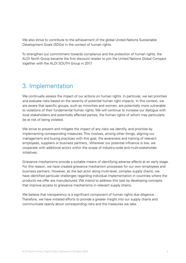We also strive to contribute to the achievement of the global United Nations Sustainable Development Goals (SDGs) in the context of human rights.

To strengthen our commitment towards compliance and the protection of human rights, the ALDI North Group became the first discount retailer to join the United Nations Global Compact together with the ALDI SOUTH Group in 2017.

### 3. Implementation

We continually assess the impact of our actions on human rights. In particular, we set priorities and evaluate risks based on the severity of potential human right impacts. In this context, we are aware that specific groups, such as minorities and women, are potentially more vulnerable to violations of their fundamental human rights. We will continue to increase our dialogue with local stakeholders and potentially affected parties, the human rights of whom may particularly be at risk of being violated.

We strive to prevent and mitigate the impact of any risks we identify, and prioritise by implementing corresponding measures. This involves, among other things, aligning our management and buying practices with this goal, the awareness and training of relevant employees, suppliers or business partners,. Wherever our potential influence is low, we cooperate with additional actors within the scope of industry-wide and multi-stakeholder initiatives.

Grievance mechanisms provide a suitable means of identifying adverse effects at an early stage. For this reason, we have created grievance mechanism processes for our own employees and business partners. However, as the last actor along multi-level, complex supply chains, we have identified particular challenges regarding individual implementation in countries where the products we offer are manufactured. We intend to address this task by developing concepts that improve access to grievance mechanisms in relevant supply chains.

We believe that transparency is a significant component of human rights due diligence. Therefore, we have initiated efforts to provide a greater insight into our supply chains and communicate openly about corresponding risks and the measures we take.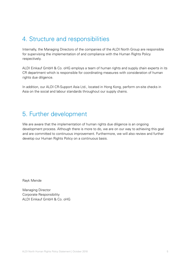# 4. Structure and responsibilities

Internally, the Managing Directors of the companies of the ALDI North Group are responsible for supervising the implementation of and compliance with the Human Rights Policy respectively.

ALDI Einkauf GmbH & Co. oHG employs a team of human rights and supply chain experts in its CR department which is responsible for coordinating measures with consideration of human rights due diligence.

In addition, our ALDI CR-Support Asia Ltd., located in Hong Kong, perform on-site checks in Asia on the social and labour standards throughout our supply chains.

#### 5. Further development

We are aware that the implementation of human rights due diligence is an ongoing development process. Although there is more to do, we are on our way to achieving this goal and are committed to continuous improvement. Furthermore, we will also review and further develop our Human Rights Policy on a continuous basis.

Rayk Mende

Managing Director Corporate Responsibility ALDI Einkauf GmbH & Co. oHG